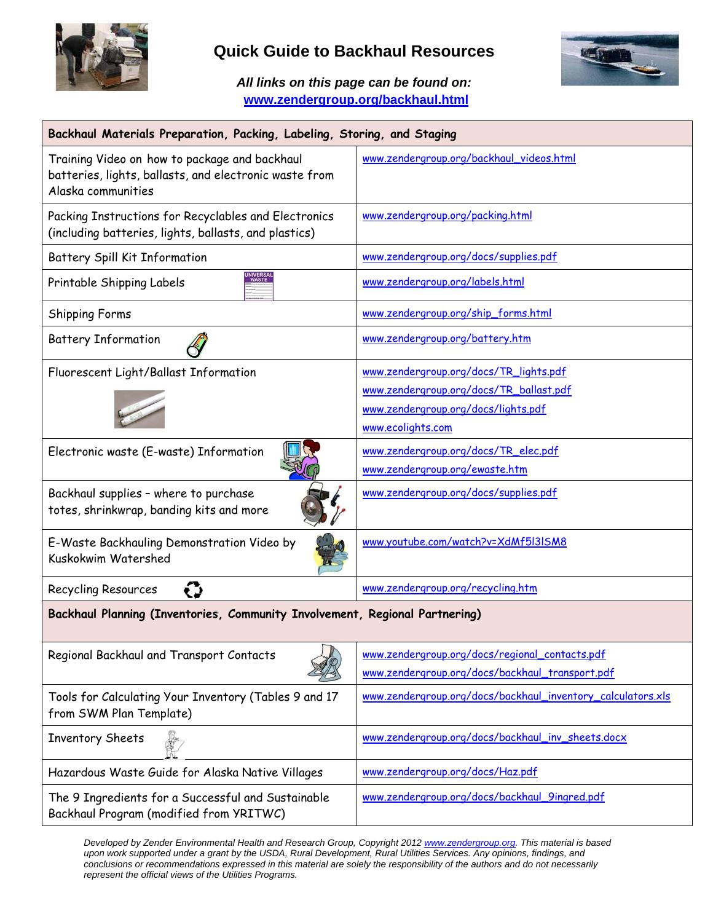

## **Quick Guide to Backhaul Resources**

*All links on this page can be found on:* **www.zendergroup.org/backhaul.html** 



| Backhaul Materials Preparation, Packing, Labeling, Storing, and Staging                                                       |                                                             |
|-------------------------------------------------------------------------------------------------------------------------------|-------------------------------------------------------------|
| Training Video on how to package and backhaul<br>batteries, lights, ballasts, and electronic waste from<br>Alaska communities | www.zendergroup.org/backhaul_videos.html                    |
| Packing Instructions for Recyclables and Electronics<br>(including batteries, lights, ballasts, and plastics)                 | www.zendergroup.org/packing.html                            |
| Battery Spill Kit Information                                                                                                 | www.zendergroup.org/docs/supplies.pdf                       |
| WASTE<br>Printable Shipping Labels                                                                                            | www.zendergroup.org/labels.html                             |
| <b>Shipping Forms</b>                                                                                                         | www.zendergroup.org/ship_forms.html                         |
| <b>Battery Information</b>                                                                                                    | www.zendergroup.org/battery.htm                             |
| Fluorescent Light/Ballast Information                                                                                         | www.zendergroup.org/docs/TR_lights.pdf                      |
|                                                                                                                               | www.zendergroup.org/docs/TR_ballast.pdf                     |
|                                                                                                                               | www.zendergroup.org/docs/lights.pdf                         |
|                                                                                                                               | www.ecolights.com                                           |
| Electronic waste (E-waste) Information                                                                                        | www.zendergroup.org/docs/TR_elec.pdf                        |
|                                                                                                                               | www.zendergroup.org/ewaste.htm                              |
| Backhaul supplies - where to purchase<br>totes, shrinkwrap, banding kits and more                                             | www.zendergroup.org/docs/supplies.pdf                       |
| E-Waste Backhauling Demonstration Video by<br>Kuskokwim Watershed                                                             | www.youtube.com/watch?v=XdMf5I3ISM8                         |
| Recycling Resources                                                                                                           | www.zendergroup.org/recycling.htm                           |
| Backhaul Planning (Inventories, Community Involvement, Regional Partnering)                                                   |                                                             |
| Regional Backhaul and Transport Contacts                                                                                      | www.zendergroup.org/docs/regional_contacts.pdf              |
|                                                                                                                               | www.zendergroup.org/docs/backhaul_transport.pdf             |
| Tools for Calculating Your Inventory (Tables 9 and 17<br>from SWM Plan Template)                                              | www.zendergroup.org/docs/backhaul_inventory_calculators.xls |
| Inventory Sheets                                                                                                              | www.zendergroup.org/docs/backhaul_inv_sheets.docx           |
| Hazardous Waste Guide for Alaska Native Villages                                                                              | www.zendergroup.org/docs/Haz.pdf                            |
| The 9 Ingredients for a Successful and Sustainable<br>Backhaul Program (modified from YRITWC)                                 | www.zendergroup.org/docs/backhaul_9ingred.pdf               |

*Developed by Zender Environmental Health and Research Group, Copyright 2012 www.zendergroup.org. This material is based upon work supported under a grant by the USDA, Rural Development, Rural Utilities Services. Any opinions, findings, and conclusions or recommendations expressed in this material are solely the responsibility of the authors and do not necessarily represent the official views of the Utilities Programs.*